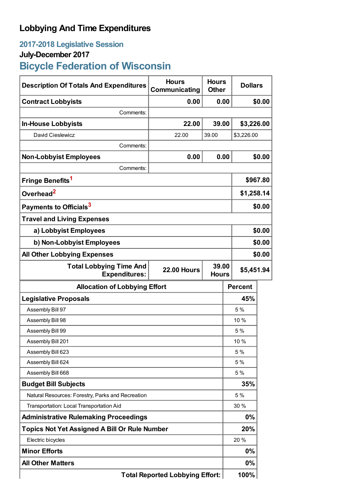## **Lobbying And Time Expenditures**

## **2017-2018 Legislative Session**

## **July-December 2017**

# **Bicycle Federation of Wisconsin**

| <b>Description Of Totals And Expenditures</b>          | <b>Hours</b><br>Communicating | <b>Hours</b><br><b>Other</b> | <b>Dollars</b> |        |  |
|--------------------------------------------------------|-------------------------------|------------------------------|----------------|--------|--|
| <b>Contract Lobbyists</b>                              | 0.00                          | 0.00                         |                | \$0.00 |  |
| Comments:                                              |                               |                              |                |        |  |
| <b>In-House Lobbyists</b>                              | 22.00                         | 39.00                        | \$3,226.00     |        |  |
| David Cieslewicz                                       | 22.00                         | 39.00                        | \$3,226.00     |        |  |
| Comments:                                              |                               |                              |                |        |  |
| <b>Non-Lobbyist Employees</b>                          | 0.00                          | 0.00                         |                | \$0.00 |  |
| Comments:                                              |                               |                              |                |        |  |
| Fringe Benefits <sup>1</sup>                           |                               |                              | \$967.80       |        |  |
| Overhead <sup>2</sup>                                  |                               |                              | \$1,258.14     |        |  |
| Payments to Officials <sup>3</sup>                     |                               |                              | \$0.00         |        |  |
| <b>Travel and Living Expenses</b>                      |                               |                              |                |        |  |
| a) Lobbyist Employees                                  |                               |                              |                | \$0.00 |  |
| b) Non-Lobbyist Employees                              |                               |                              |                | \$0.00 |  |
| <b>All Other Lobbying Expenses</b>                     |                               |                              |                | \$0.00 |  |
| <b>Total Lobbying Time And</b><br><b>Expenditures:</b> | <b>22.00 Hours</b>            | 39.00<br><b>Hours</b>        | \$5,451.94     |        |  |
| <b>Allocation of Lobbying Effort</b>                   |                               |                              | <b>Percent</b> |        |  |
| <b>Legislative Proposals</b>                           |                               |                              | 45%            |        |  |
| Assembly Bill 97                                       |                               |                              | 5 %            |        |  |
| Assembly Bill 98                                       |                               |                              | 10 %           |        |  |
| Assembly Bill 99                                       |                               |                              | 5%             |        |  |
| Assembly Bill 201                                      |                               |                              | 10 %           |        |  |
| Assembly Bill 623                                      |                               |                              | 5 %            |        |  |
| Assembly Bill 624                                      |                               |                              | 5 %            |        |  |
| Assembly Bill 668                                      |                               |                              | 5 %            |        |  |
| <b>Budget Bill Subjects</b>                            |                               |                              | 35%            |        |  |
| Natural Resources: Forestry, Parks and Recreation      |                               |                              | 5 %            |        |  |
| Transportation: Local Transportation Aid               |                               |                              | 30 %           |        |  |
| <b>Administrative Rulemaking Proceedings</b>           |                               |                              | $0\%$          |        |  |
| <b>Topics Not Yet Assigned A Bill Or Rule Number</b>   |                               |                              | 20%            |        |  |
| Electric bicycles                                      |                               |                              | 20 %           |        |  |
| <b>Minor Efforts</b>                                   |                               |                              | $0\%$          |        |  |
| <b>All Other Matters</b>                               |                               |                              | $0\%$          |        |  |
| <b>Total Reported Lobbying Effort:</b>                 |                               |                              | 100%           |        |  |